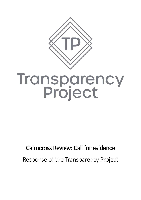

# **Transparency<br>Project**

# Cairncross Review: Call for evidence Response of the Transparency Project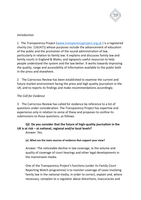

### *Introduction*

1 The Transparency Project [\(www.transparencyproject.org.uk](http://www.transparencyproject.org.uk/) ) is a registered charity (no. 1161471) whose purposes include the advancement of education of the public and the promotion of the sound administration of law, particularly in relation to family law. It explains and discusses family law and family courts in England & Wales, and signposts useful resources to help people understand the system and the law better. It works towards improving the quality, range and accessibility of information available to the public both in the press and elsewhere.

2 The Cairncross Review has been established to examine the current and future market environment facing the press and high quality journalism in the UK, and to reports its findings and make recommendations accordingly.

### *The Call for Evidence*

3 The Cairncross Review has called for evidence by reference to a list of questions under consideration. The Transparency Project has expertise and experience only in relation to some of these and proposes to confine its submissions to those questions, as follows.

## **Q2. Do you consider that the future of high-quality journalism in the UK is at risk – at national, regional and/or local levels?**

Answer. Yes.

### **(a) What are the main sources of evidence that support your view?**

Answer: The noticeable decline in law coverage, ie the volume and quality of coverage of court hearings and other legal developments in the mainstream media.

One of the Transparency Project's functions (under its Family Court Reporting Watch programme) is to monitor coverage of cases involving family law in the national media, in order to correct, explain and, where necessary, complain to a regulator about distortions, inaccuracies and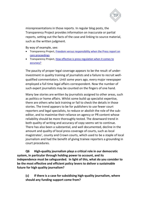

misrepresentations in those reports. In regular blog posts, the Transparency Project provides information on inaccurate or partial reports, setting out the facts of the case and linking to source material, such as the written judgment.

By way of example, see:

- Transparency Project, [Freedom versus responsibility when the Press report on](http://www.transparencyproject.org.uk/freedom-versus-responsibility-when-the-press-report-on-care-proceedings/)  [care proceedings](http://www.transparencyproject.org.uk/freedom-versus-responsibility-when-the-press-report-on-care-proceedings/)
- Transparency Project, [How effective is press regulation when it comes to](http://www.transparencyproject.org.uk/how-effective-is-press-regulation-when-it-comes-to-accuracy/)  [accuracy?](http://www.transparencyproject.org.uk/how-effective-is-press-regulation-when-it-comes-to-accuracy/)

The paucity of proper legal coverage appears to be the result of underinvestment in quality training of journalists and a failure to recruit wellqualified commentators. Until some years ago, every major newspaper employed a full time legal affairs correspondent. Now the number of such expert journalists may be counted on the fingers of one hand.

Many law stories are written by journalists assigned to other areas, such as politics or home affairs. Whilst some build up specialist expertise, there are others who lack training or fail to check the details in those stories. The trend appears to be for publishers to use fewer court reporters and legal specialists, to reduce or abolish the role of the subeditor, and to maximise their reliance on agency or PR content whose reliability should be more thoroughly tested. The downward trend in both quality of writing and accuracy of copy seems set to continue. There has also been a substantial, and well documented, decline in the amount and quality of local press coverage of courts, such as local magistrates', county and Crown courts, which used to be a staple of local journalism and had the benefit of giving trainee reporters a grounding in court procedures.

**Q6 High-quality journalism plays a critical role in our democratic system, in particular through holding power to account, and its independence must be safeguarded. In light of this, what do you consider to be the most effective and efficient policy levers to deliver a sustainable future for high quality journalism?** 

**(c) If there is a case for subsidising high-quality journalism, where should any funding support come from?**